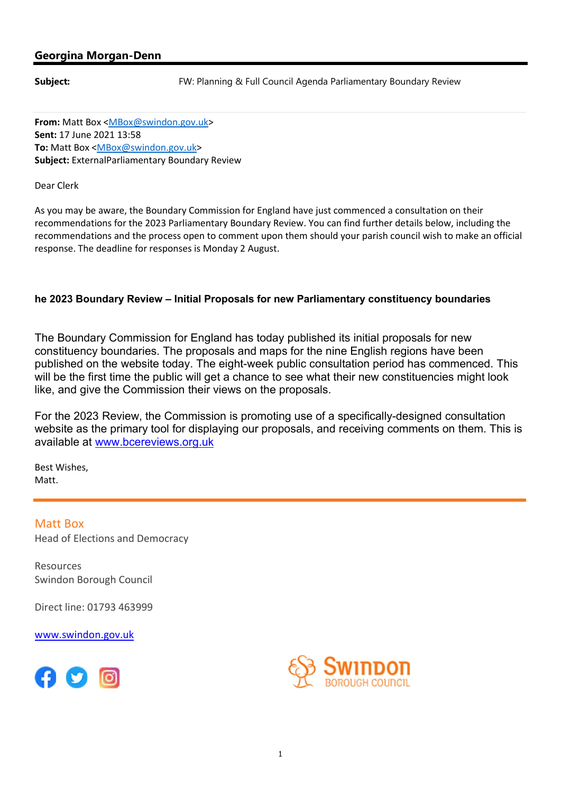## Georgina Morgan-Denn

**Subject:** FW: Planning & Full Council Agenda Parliamentary Boundary Review

From: Matt Box <MBox@swindon.gov.uk> Sent: 17 June 2021 13:58 To: Matt Box <MBox@swindon.gov.uk> Subject: ExternalParliamentary Boundary Review

Dear Clerk

As you may be aware, the Boundary Commission for England have just commenced a consultation on their recommendations for the 2023 Parliamentary Boundary Review. You can find further details below, including the recommendations and the process open to comment upon them should your parish council wish to make an official response. The deadline for responses is Monday 2 August.

## he 2023 Boundary Review – Initial Proposals for new Parliamentary constituency boundaries

The Boundary Commission for England has today published its initial proposals for new constituency boundaries. The proposals and maps for the nine English regions have been published on the website today. The eight-week public consultation period has commenced. This will be the first time the public will get a chance to see what their new constituencies might look like, and give the Commission their views on the proposals.

For the 2023 Review, the Commission is promoting use of a specifically-designed consultation website as the primary tool for displaying our proposals, and receiving comments on them. This is available at www.bcereviews.org.uk

Best Wishes, Matt.

Matt Box Head of Elections and Democracy

Resources Swindon Borough Council

Direct line: 01793 463999

www.swindon.gov.uk